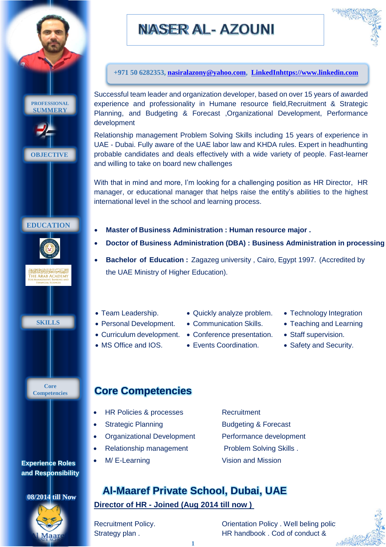

# NASER AL- AZOUNI



**+971 50 6282353, [nasiralazony@yahoo.com,](mailto:nasiralazony@yahoo.com) [LinkedInhttps://www.linkedin.com](https://www.linkedin.com/in/nasser-alazony-bbb93989/)**

Successful team leader and organization developer, based on over 15 years of awarded experience and professionality in Humane resource field,Recruitment & Strategic Planning, and Budgeting & Forecast ,Organizational Development, Performance

Relationship management Problem Solving Skills including 15 years of experience in UAE - Dubai. Fully aware of the UAE labor law and KHDA rules. Expert in headhunting probable candidates and deals effectively with a wide variety of people. Fast-learner and willing to take on board new challenges

With that in mind and more, I'm looking for a challenging position as HR Director, HR manager, or educational manager that helps raise the entity's abilities to the highest international level in the school and learning process.

- **Master of Business Administration : Human resource major .**
- **Doctor of Business Administration (DBA) : Business Administration in processing**
- **Bachelor of Education :** Zagazeg university , Cairo, Egypt 1997. (Accredited by the UAE Ministry of Higher Education).
- Team Leadership.
- Personal Development.
	-
- MS Office and IOS.
- Quickly analyze problem.
- Communication Skills.

Events Coordination.

- Curriculum development. Conference presentation.
- Staff supervision.
	- Safety and Security.

• Technology Integration • Teaching and Learning

- HR Policies & processes Recruitment
- 
- Organizational Development Performance development
- Relationship management Problem Solving Skills .
- M/ E-Learning Vision and Mission
- Strategic Planning Budgeting & Forecast

## **Director of HR - Joined (Aug 2014 till now )**

Recruitment Policy. **Conservery Conservery Accept Policy** Policy . Well beling policy Strategy plan . HR handbook . Cod of conduct &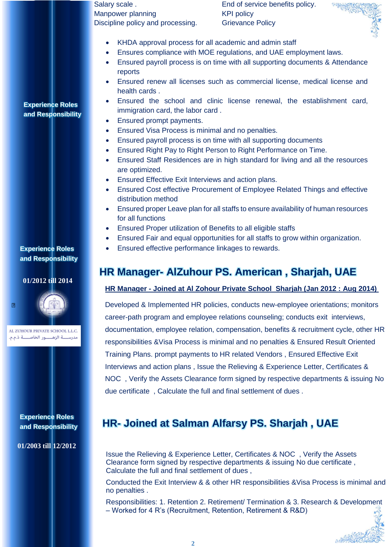Salary scale . The same service benefits policy. Manpower planning and the KPI policy Discipline policy and processing. Grievance Policy



- KHDA approval process for all academic and admin staff
- Ensures compliance with MOE regulations, and UAE employment laws.
	- Ensured payroll process is on time with all supporting documents & Attendance reports
	- Ensured renew all licenses such as commercial license, medical license and health cards .
	- Ensured the school and clinic license renewal, the establishment card, immigration card, the labor card .
	- Ensured prompt payments.
	- Ensured Visa Process is minimal and no penalties.
	- Ensured payroll process is on time with all supporting documents
	- Ensured Right Pay to Right Person to Right Performance on Time.
	- Ensured Staff Residences are in high standard for living and all the resources are optimized.
	- Ensured Effective Exit Interviews and action plans.
	- Ensured Cost effective Procurement of Employee Related Things and effective distribution method
	- Ensured proper Leave plan for all staffs to ensure availability of human resources for all functions
	- Ensured Proper utilization of Benefits to all eligible staffs
	- Ensured Fair and equal opportunities for all staffs to grow within organization.
	- Ensured effective performance linkages to rewards.

## **HR Manager- AlZuhour PS. American , Sharjah, UAE**

### **HR Manager - Joined at Al Zohour Private School Sharjah (Jan 2012 : Aug 2014)**

Developed & Implemented HR policies, conducts new-employee orientations; monitors career-path program and employee relations counseling; conducts exit interviews, documentation, employee relation, compensation, benefits & recruitment cycle, other HR responsibilities &Visa Process is minimal and no penalties & Ensured Result Oriented Training Plans. prompt payments to HR related Vendors , Ensured Effective Exit Interviews and action plans , Issue the Relieving & Experience Letter, Certificates & NOC , Verify the Assets Clearance form signed by respective departments & issuing No due certificate , Calculate the full and final settlement of dues .

## **HR- Joined at Salman Alfarsy PS. Sharjah , UAE**

Issue the Relieving & Experience Letter, Certificates & NOC , Verify the Assets Clearance form signed by respective departments & issuing No due certificate , Calculate the full and final settlement of dues ,

Conducted the Exit Interview & & other HR responsibilities &Visa Process is minimal and no penalties .

Responsibilities: 1. Retention 2. Retirement/ Termination & 3. Research & Development – Worked for 4 R's (Recruitment, Retention, Retirement & R&D)

et Note

**Experience Roles and Responsibility** 

**Experience Roles and Responsibility** 

### **01/2012 till 2014**



AL ZUHOUR PRIVATE SCHOOL L.L.C. مدرســـة الزهــــور الخاصـــة ذ.م.م.

> **Experience Roles and Responsibility**

**01/2003 till 12/2012**